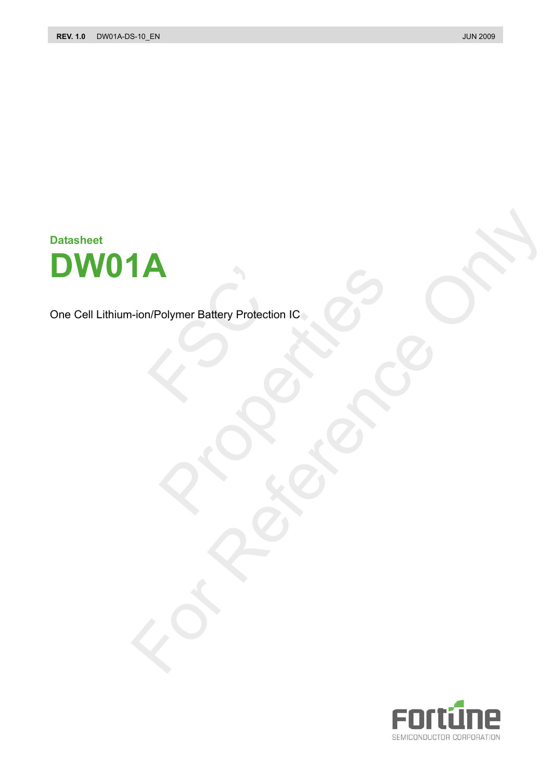**Datasheet DW01A** 

One Cell Lithium-ion/Polymer Battery Protection IC N/Polymer Battery Protection Polymer Battery Protection IC<br>
Colymer Battery Protection IC<br>
Colymer Battery Protection IC<br>
Colymer Battery Protection IC The Battery Protection IC 20 OFFER

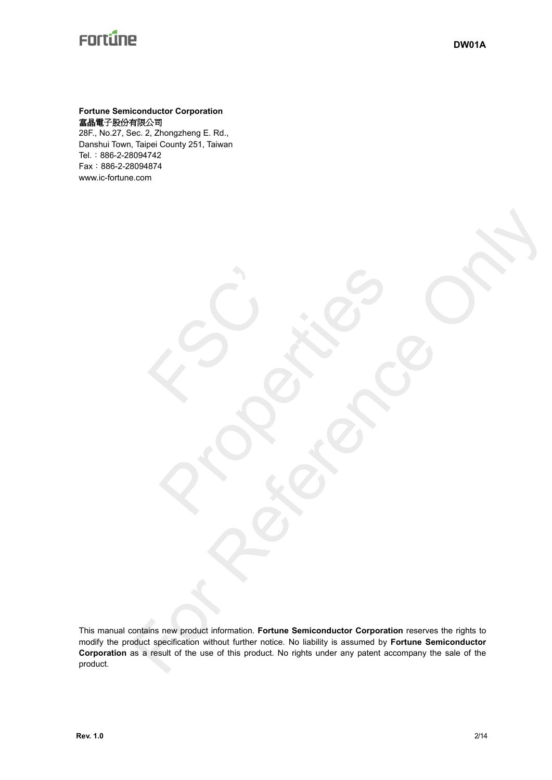### **Fortune Semiconductor Corporation**  富晶電子股份有限公司

28F., No.27, Sec. 2, Zhongzheng E. Rd., Danshui Town, Taipei County 251, Taiwan Tel.:886-2-28094742 Fax:886-2-28094874 www.ic-fortune.com

FSC'

This manual contains new product information. **Fortune Semiconductor Corporation** reserves the rights to modify the product specification without further notice. No liability is assumed by **Fortune Semiconductor Corporation** as a result of the use of this product. No rights under any patent accompany the sale of the product. For Reference Contains a Construction of the Construction of the Construction of the Construction of the Construction of the Construction of the Construction of the Construction of the Construction of the Construction of t

Richards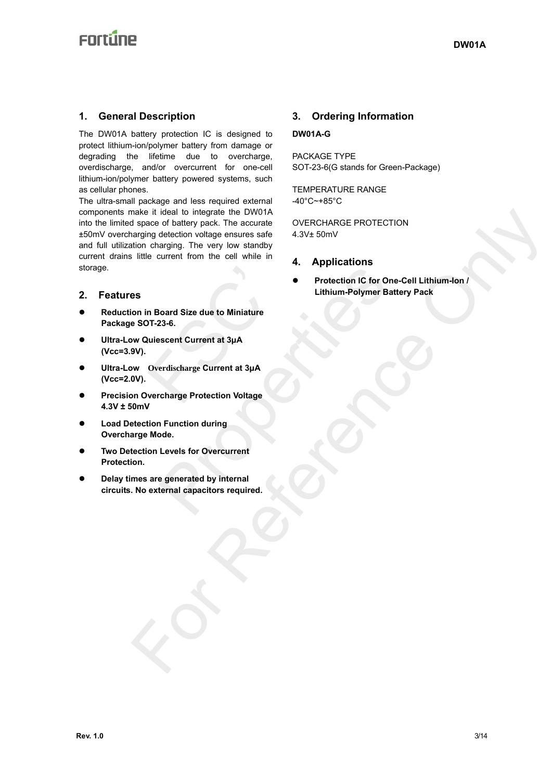# **Enrtine**

### **1. General Description**

The DW01A battery protection IC is designed to protect lithium-ion/polymer battery from damage or degrading the lifetime due to overcharge, overdischarge, and/or overcurrent for one-cell lithium-ion/polymer battery powered systems, such as cellular phones.

The ultra-small package and less required external components make it ideal to integrate the DW01A into the limited space of battery pack. The accurate ±50mV overcharging detection voltage ensures safe and full utilization charging. The very low standby current drains little current from the cell while in storage. make it ideal to integrate the DWOIA<br>
signace of battery pack. The accurate covering of CNCHARGE PROTECTION<br>
any dignal decide with the current from the cell while in<br>
the current from the cell while in<br>
experiment of the

#### **2. Features**

- **•** Reduction in Board Size due to Miniature **Package SOT-23-6.**  n Board Size due to Miniature<br>
17-23-6.<br>
uliescent Current at 3µA<br>
Overdischarge Current at 3µA<br>
vercharge Protection Voltage
- z **Ultra-Low Quiescent Current at 3μA (Vcc=3.9V).**
- z **Ultra-Low Overdischarge Current at 3μA (Vcc=2.0V).**
- z **Precision Overcharge Protection Voltage 4.3V ± 50mV**
- **Load Detection Function during Overcharge Mode.**
- **Two Detection Levels for Overcurrent Protection.**
- **Delay times are generated by internal circuits. No external capacitors required.**

## **3. Ordering Information**

### **DW01A-G**

PACKAGE TYPE SOT-23-6(G stands for Green-Package)

TEMPERATURE RANGE -40°C~+85°C

OVERCHARGE PROTECTION 4.3V± 50mV

- **4. Applications**
- z **Protection IC for One-Cell Lithium-Ion / Lithium-Polymer Battery Pack**  Properties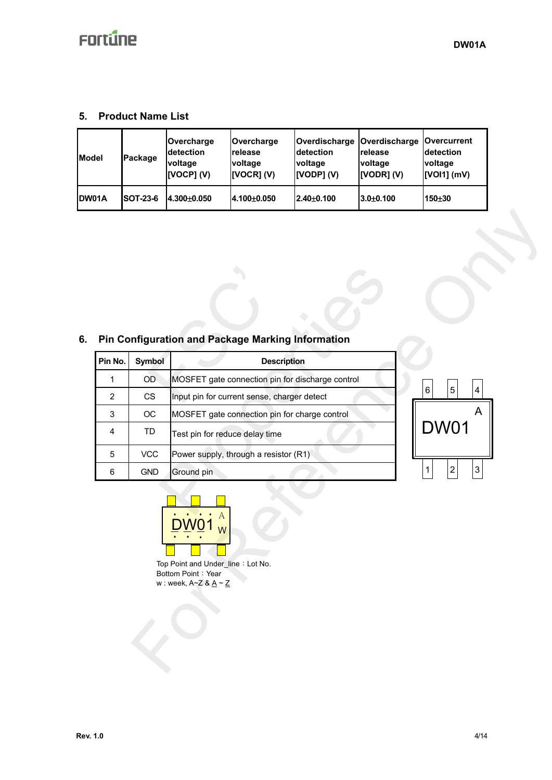### **5. Product Name List**

| <b>IModel</b> | Package         | Overcharge<br><b>detection</b><br>voltage<br>[VOCP](V) | <b>Overcharge</b><br>Irelease<br>voltage<br>[VOCR] (V) | detection<br>voltage<br>[VODP] (V) | Overdischarge   Overdischarge   Overcurrent<br><b>release</b><br>voltage<br>[VODR] (V) | detection<br>voltage<br>$[VOI1]$ (mV) |
|---------------|-----------------|--------------------------------------------------------|--------------------------------------------------------|------------------------------------|----------------------------------------------------------------------------------------|---------------------------------------|
| <b>IDW01A</b> | <b>SOT-23-6</b> | 4.300+0.050                                            | l4.100±0.050                                           | $2.40 + 0.100$                     | $3.0 + 0.100$                                                                          | $150 + 30$                            |

### **6. Pin Configuration and Package Marking Information**

| Pin No.<br><b>Symbol</b><br><b>Description</b><br>MOSFET gate connection pin for discharge control<br>$\mathbf{1}$<br>OD<br>6<br>5<br>$\overline{4}$<br>$\overline{2}$<br>CS<br>Input pin for current sense, charger detect<br>A<br>$\mathsf 3$<br>$_{\rm OC}$<br>MOSFET gate connection pin for charge control<br><b>DW01</b><br>$\overline{\mathbf{4}}$<br>TD<br>Test pin for reduce delay time<br><b>VCC</b><br>Power supply, through a resistor (R1)<br>$\overline{5}$<br>$\mathbf 1$<br>$\overline{c}$<br>$\ensuremath{\mathsf{3}}$<br>6<br><b>GND</b><br>Ground pin<br>А<br>Top Point and Under_line: Lot No.<br>Bottom Point: Year<br>w : week, $A \sim Z$ & $\underline{A} \sim \underline{Z}$ | Pin Configuration and Package Marking Information |  |  |
|--------------------------------------------------------------------------------------------------------------------------------------------------------------------------------------------------------------------------------------------------------------------------------------------------------------------------------------------------------------------------------------------------------------------------------------------------------------------------------------------------------------------------------------------------------------------------------------------------------------------------------------------------------------------------------------------------------|---------------------------------------------------|--|--|
|                                                                                                                                                                                                                                                                                                                                                                                                                                                                                                                                                                                                                                                                                                        |                                                   |  |  |
|                                                                                                                                                                                                                                                                                                                                                                                                                                                                                                                                                                                                                                                                                                        |                                                   |  |  |
|                                                                                                                                                                                                                                                                                                                                                                                                                                                                                                                                                                                                                                                                                                        |                                                   |  |  |
|                                                                                                                                                                                                                                                                                                                                                                                                                                                                                                                                                                                                                                                                                                        |                                                   |  |  |
|                                                                                                                                                                                                                                                                                                                                                                                                                                                                                                                                                                                                                                                                                                        |                                                   |  |  |
|                                                                                                                                                                                                                                                                                                                                                                                                                                                                                                                                                                                                                                                                                                        |                                                   |  |  |
|                                                                                                                                                                                                                                                                                                                                                                                                                                                                                                                                                                                                                                                                                                        |                                                   |  |  |
|                                                                                                                                                                                                                                                                                                                                                                                                                                                                                                                                                                                                                                                                                                        |                                                   |  |  |

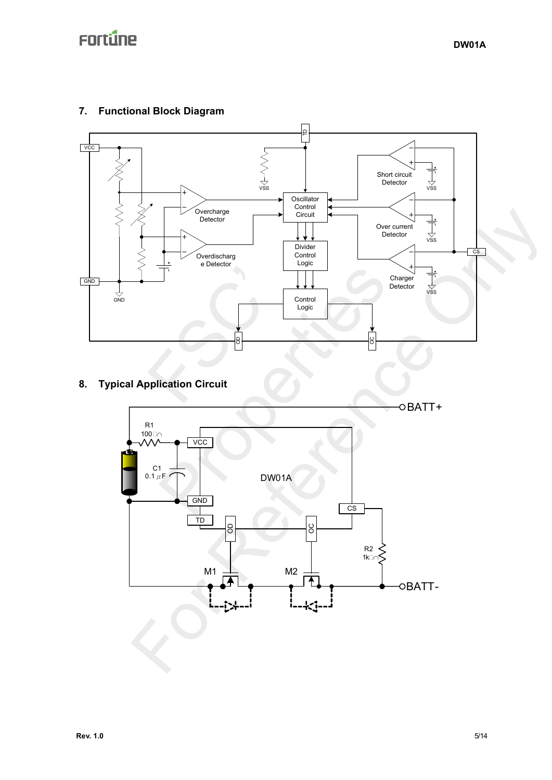## **7. Functional Block Diagram**



## **8. Typical Application Circuit**

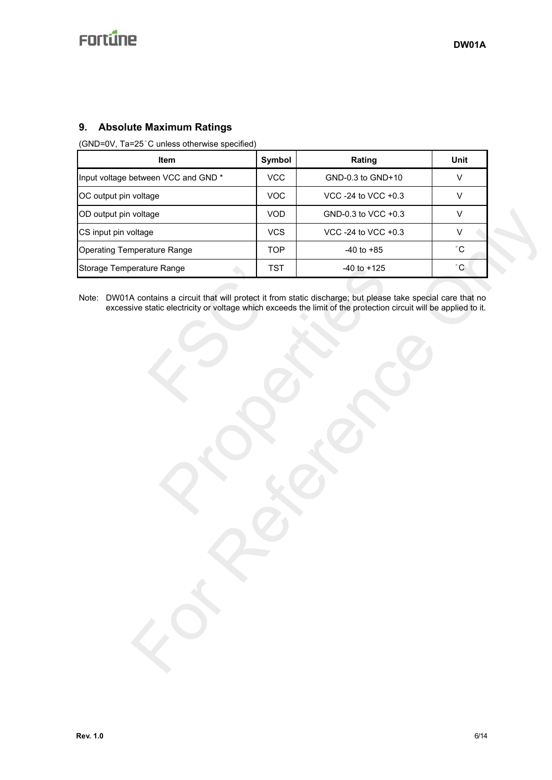### **9. Absolute Maximum Ratings**

(GND=0V, Ta=25°C unless otherwise specified)

| <b>Item</b>                         | Symbol     | Rating              | Unit |
|-------------------------------------|------------|---------------------|------|
| Input voltage between VCC and GND * | <b>VCC</b> | GND-0.3 to GND+10   | v    |
| OC output pin voltage               | <b>VOC</b> | VCC -24 to VCC +0.3 |      |
| OD output pin voltage               | <b>VOD</b> | GND-0.3 to VCC +0.3 | v    |
| CS input pin voltage                | <b>VCS</b> | VCC -24 to VCC +0.3 |      |
| Operating Temperature Range         | <b>TOP</b> | $-40$ to $+85$      | °С   |
| Storage Temperature Range           | <b>TST</b> | $-40$ to $+125$     | °С   |

Note: DW01A contains a circuit that will protect it from static discharge; but please take special care that no excessive static electricity or voltage which exceeds the limit of the protection circuit will be applied to it.

FSC' Range<br>
IST 40 to +125<br>
ins a circuit that will protect it from static discharge; but please ta<br>
ic electricity or voltage which exceeds the limit of the protection circuit.<br>
All the protection circuit will protect it from voltage<br>
andage<br>
There also the contains a circuit that will protect it from static discharge, but please take apecial care that not<br>
erature Range<br>
A contains a circuit that will protect it from static discharge, but plea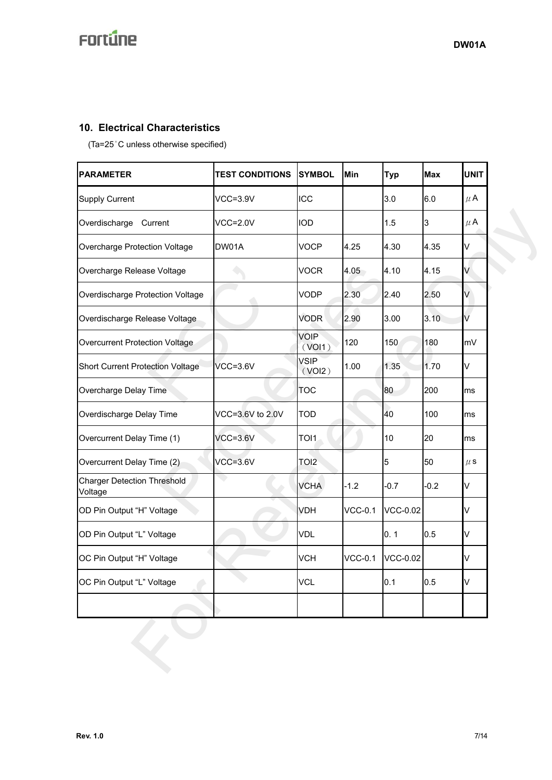### **10. Electrical Characteristics**

(Ta=25°C unless otherwise specified)

|                                               | <b>TEST CONDITIONS</b> | <b>SYMBOL</b>         | Min            | <b>Typ</b>      | <b>Max</b> | <b>UNIT</b> |
|-----------------------------------------------|------------------------|-----------------------|----------------|-----------------|------------|-------------|
| <b>Supply Current</b>                         | $VCC=3.9V$             | <b>ICC</b>            |                | 3.0             | 6.0        | $\mu$ A     |
| Overdischarge<br>Current                      | $VCC=2.0V$             | <b>IOD</b>            |                | 1.5             | 3          | $\mu$ A     |
| Overcharge Protection Voltage                 | DW01A                  | <b>VOCP</b>           | 4.25           | 4.30            | 4.35       | V           |
| Overcharge Release Voltage                    |                        | <b>VOCR</b>           | 4.05           | 4.10            | 4.15       | V           |
| Overdischarge Protection Voltage              |                        | <b>VODP</b>           | 2.30           | 2.40            | 2.50       | V           |
| Overdischarge Release Voltage                 |                        | <b>VODR</b>           | 2.90           | 3.00            | 3.10       | V           |
| Overcurrent Protection Voltage                |                        | <b>VOIP</b><br>(VOI1) | 120            | 150             | 180        | mV          |
| <b>Short Current Protection Voltage</b>       | $VCC=3.6V$             | <b>VSIP</b><br>(VOI2) | 1.00           | 1.35            | 1.70       | V           |
| Overcharge Delay Time                         |                        | <b>TOC</b>            |                | 80              | 200        | ms          |
| Overdischarge Delay Time                      | VCC=3.6V to 2.0V       | <b>TOD</b>            |                | 40              | 100        | ms          |
| Overcurrent Delay Time (1)                    | $VCC=3.6V$             | TOI1                  |                | 10              | 20         | ms          |
| Overcurrent Delay Time (2)                    | $VCC=3.6V$             | TOI <sub>2</sub>      |                | 5               | 50         | $\mu$ S     |
| <b>Charger Detection Threshold</b><br>Voltage |                        | <b>VCHA</b>           | $-1.2$         | $-0.7$          | $-0.2$     | V           |
| OD Pin Output "H" Voltage                     |                        | <b>VDH</b>            | <b>VCC-0.1</b> | <b>VCC-0.02</b> |            | V           |
| OD Pin Output "L" Voltage                     |                        | <b>VDL</b>            |                | 0.1             | 0.5        | V           |
| OC Pin Output "H" Voltage                     |                        | <b>VCH</b>            | <b>VCC-0.1</b> | <b>VCC-0.02</b> |            | V           |
| OC Pin Output "L" Voltage                     |                        | <b>VCL</b>            |                | 0.1             | 0.5        | V           |
|                                               |                        |                       |                |                 |            |             |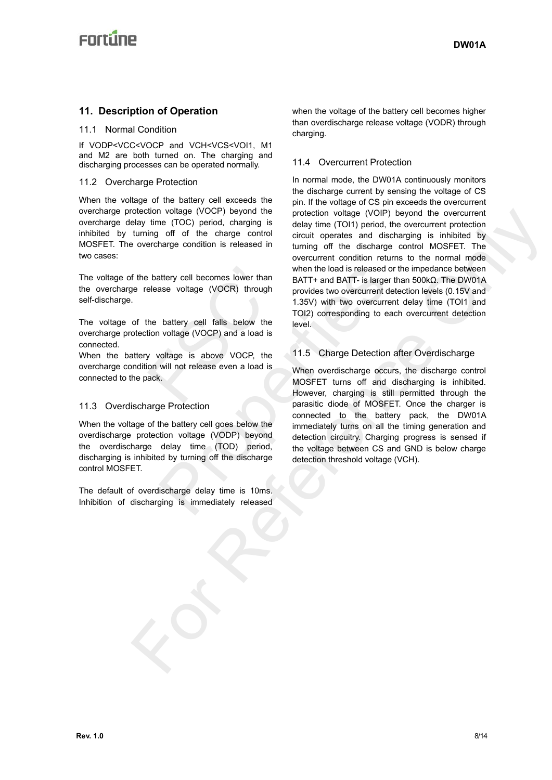### **11. Description of Operation**

#### 11.1 Normal Condition

If VODP<VCC<VOCP and VCH<VCS<VOI1, M1 and M2 are both turned on. The charging and discharging processes can be operated normally.

#### 11.2 Overcharge Protection

When the voltage of the battery cell exceeds the overcharge protection voltage (VOCP) beyond the overcharge delay time (TOC) period, charging is inhibited by turning off of the charge control MOSFET. The overcharge condition is released in two cases:

The voltage of the battery cell becomes lower than the overcharge release voltage (VOCR) through self-discharge.

The voltage of the battery cell falls below the overcharge protection voltage (VOCP) and a load is connected.

When the battery voltage is above VOCP, the overcharge condition will not release even a load is connected to the pack. battery cell becomes lower than<br>elease voltage (VOCR) through<br>the battery cell falls below the<br>tion voltage (VOCP) and a load is<br>y voltage is above VOCP, the<br>on will not release even a load is<br>ack.

#### 11.3 Overdischarge Protection

When the voltage of the battery cell goes below the overdischarge protection voltage (VODP) beyond the overdischarge delay time (TOD) period, discharging is inhibited by turning off the discharge control MOSFET.

The default of overdischarge delay time is 10ms. Inhibition of discharging is immediately released when the voltage of the battery cell becomes higher than overdischarge release voltage (VODR) through charging.

#### 11.4 Overcurrent Protection

In normal mode, the DW01A continuously monitors the discharge current by sensing the voltage of CS pin. If the voltage of CS pin exceeds the overcurrent protection voltage (VOIP) beyond the overcurrent delay time (TOI1) period, the overcurrent protection circuit operates and discharging is inhibited by turning off the discharge control MOSFET. The overcurrent condition returns to the normal mode when the load is released or the impedance between BATT+ and BATT- is larger than 500kΩ. The DW01A provides two overcurrent detection levels (0.15V and 1.35V) with two overcurrent delay time (TOI1 and TOI2) corresponding to each overcurrent detection level. chocking volco-projection wollage (VOCP) beyond the protection voltage (WDP) beyond the overcurrent protection<br>turning of the change control is electrometric condition restricts and discharging is investigated by the chang

#### 11.5 Charge Detection after Overdischarge

When overdischarge occurs, the discharge control MOSFET turns off and discharging is inhibited. However, charging is still permitted through the parasitic diode of MOSFET. Once the charger is connected to the battery pack, the DW01A immediately turns on all the timing generation and detection circuitry. Charging progress is sensed if the voltage between CS and GND is below charge detection threshold voltage (VCH). when the load is released or the total is released or the total is released or the provides two overcurrent detector at the voltage (VOCP) and a load is voltage (VOCP) and a load is voltage is above VOCP, the 11.5 Charge D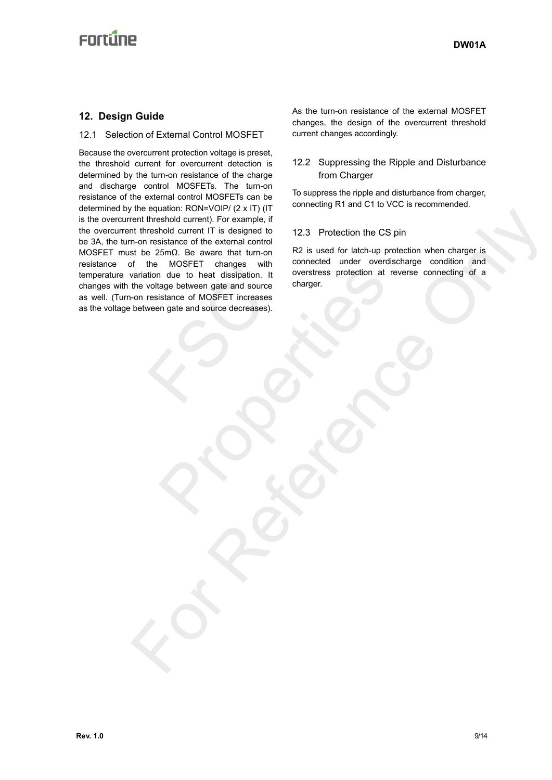## **Enrtime**

### **12. Design Guide**

#### 12.1 Selection of External Control MOSFET

Because the overcurrent protection voltage is preset, the threshold current for overcurrent detection is determined by the turn-on resistance of the charge and discharge control MOSFETs. The turn-on resistance of the external control MOSFETs can be determined by the equation: RON=VOIP/ (2 x IT) (IT is the overcurrent threshold current). For example, if the overcurrent threshold current IT is designed to be 3A, the turn-on resistance of the external control MOSFET must be 25mΩ. Be aware that turn-on resistance of the MOSFET changes with temperature variation due to heat dissipation. It changes with the voltage between gate and source as well. (Turn-on resistance of MOSFET increases as the voltage between gate and source decreases). The model is dissipation. It<br>tion due to heat dissipation. It<br>resistance of MOSFET increases<br>ween gate and source decreases). WOUCH CHIENES WINTER WITHOUT CHIEN THE CHIENELES PROTECTION OF CHIENELES DEVELOPED TO A THE CHIENELES IS DEVELOPED TO A THE CHIENELES OF MOSFET INCREASES). the equation correct the forest<br>
members of the scheme of the state of the state of the state of the state of the state of the state of the state of the state of the state of the state of the state of the state of the stat

As the turn-on resistance of the external MOSFET changes, the design of the overcurrent threshold current changes accordingly.

#### 12.2 Suppressing the Ripple and Disturbance from Charger

To suppress the ripple and disturbance from charger, connecting R1 and C1 to VCC is recommended.

#### 12.3 Protection the CS pin

R2 is used for latch-up protection when charger is connected under overdischarge condition and overstress protection at reverse connecting of a charger.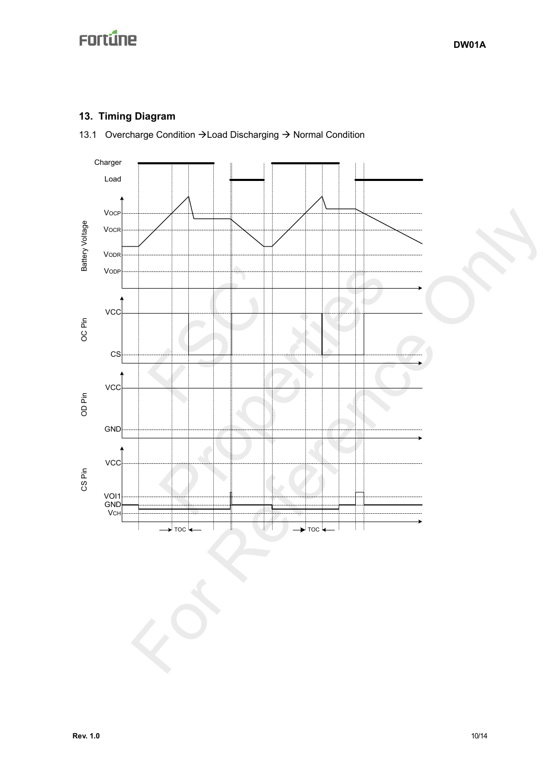## **13. Timing Diagram**

13.1 Overcharge Condition  $\rightarrow$  Load Discharging  $\rightarrow$  Normal Condition

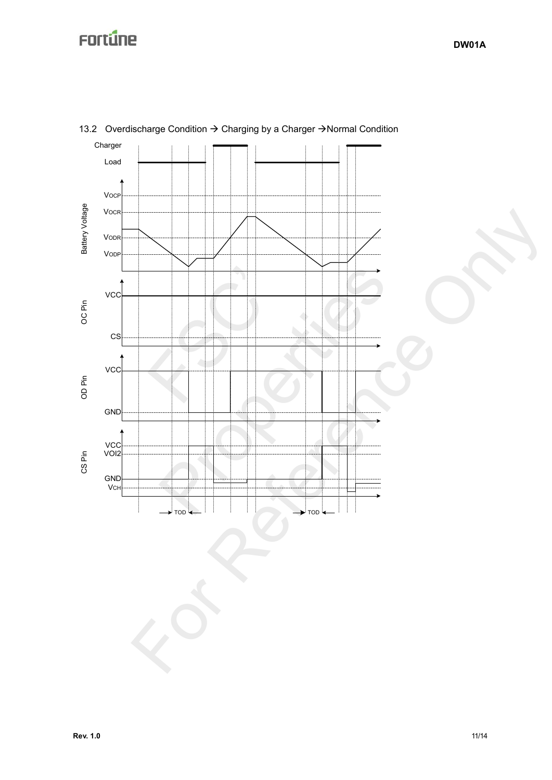

### 13.2 Overdischarge Condition  $\rightarrow$  Charging by a Charger  $\rightarrow$  Normal Condition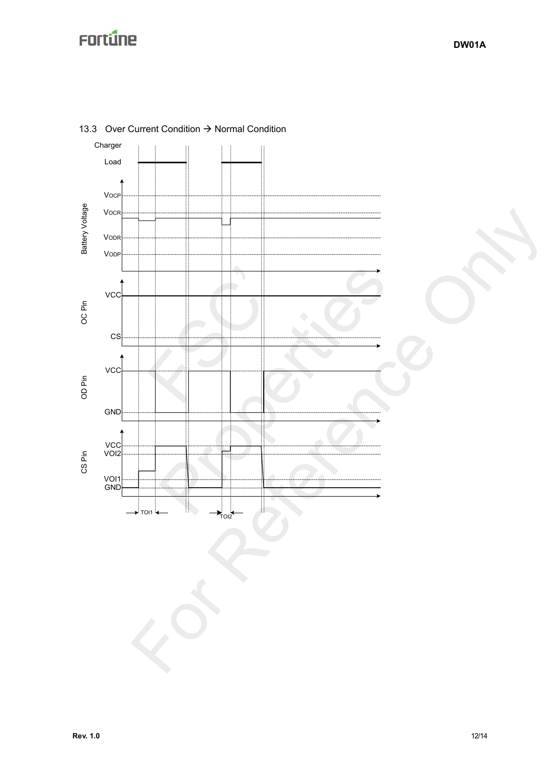

13.3 Over Current Condition  $\rightarrow$  Normal Condition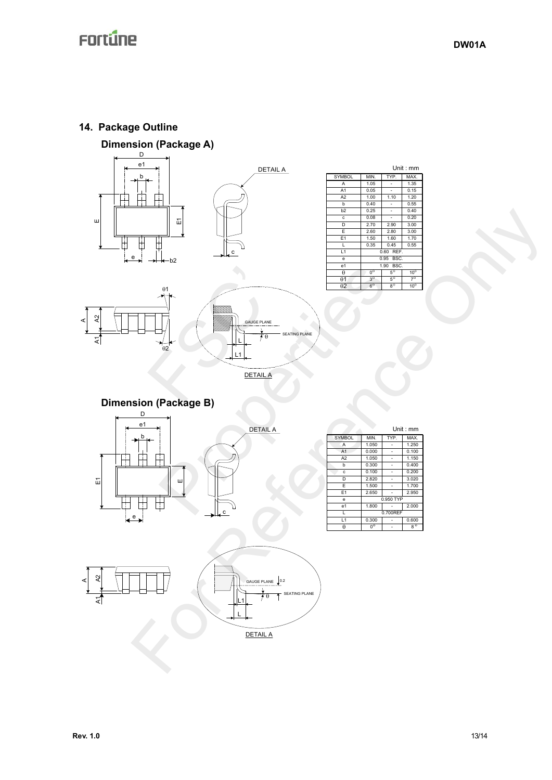### **14. Package Outline**







|                 |                        | Unit: mm     |                        |  |
|-----------------|------------------------|--------------|------------------------|--|
| <b>SYMBOL</b>   | MIN.                   | TYP.         | MAX.                   |  |
| A               | 1.05                   |              | 1.35                   |  |
| A1              | 0.05                   |              | 0.15                   |  |
| A <sub>2</sub>  | 1.00                   | 1.10         | 1.20                   |  |
| b               | 0.40                   |              | 0.55                   |  |
| b <sub>2</sub>  | 0.25                   |              | 0.40                   |  |
| c               | 0.08                   |              | 0.20                   |  |
| D               | 2.70                   | 2.90         | 3.00                   |  |
| E               | 2.60                   | 2.80         | 3.00                   |  |
| E <sub>1</sub>  | 1.50                   | 1.60         | 1.70                   |  |
| ı.              | 0.35                   | 0.45         | 0.55                   |  |
| L1              |                        | REF.<br>0.60 |                        |  |
| e               | BSC.<br>0.95           |              |                        |  |
| e1              | BSC.<br>1.90           |              |                        |  |
| θ               | $\overline{0^{\circ}}$ | $5^{\circ}$  | 10 <sup>o</sup>        |  |
| $\theta$ 1      | $3^{\circ}$            | $5^\circ$    | $\overline{7}^{\circ}$ |  |
| $\overline{02}$ | $\overline{6^{\circ}}$ | $8^{\circ}$  | $10^{\circ}$           |  |





DETAIL A

DETAIL A

**Dimension (Package B)** 





|                 |                             |      | Unit : mm   |  |
|-----------------|-----------------------------|------|-------------|--|
| <b>SYMBOL</b>   | MIN.                        | TYP. | MAX.        |  |
| A               | 1.050                       |      | 1.250       |  |
| A <sub>1</sub>  | 0.000                       |      | 0.100       |  |
| A <sub>2</sub>  | 1.050                       |      | 1.150       |  |
| h               | 0.300                       |      | 0.400       |  |
| c               | 0.100                       |      | 0.200       |  |
| D               | 2.820                       |      | 3.020       |  |
| E               | 1.500                       |      | 1.700       |  |
| F <sub>1</sub>  | 2.650                       |      | 2.950       |  |
| e               | 0.950 TYP                   |      |             |  |
| e1              | 1.800                       |      | 2.000       |  |
| L               | 0.700REF                    |      |             |  |
| $\overline{11}$ | 0.300                       |      | 0.600       |  |
| A               | $\overline{0}$ <sup>o</sup> |      | $8^{\circ}$ |  |